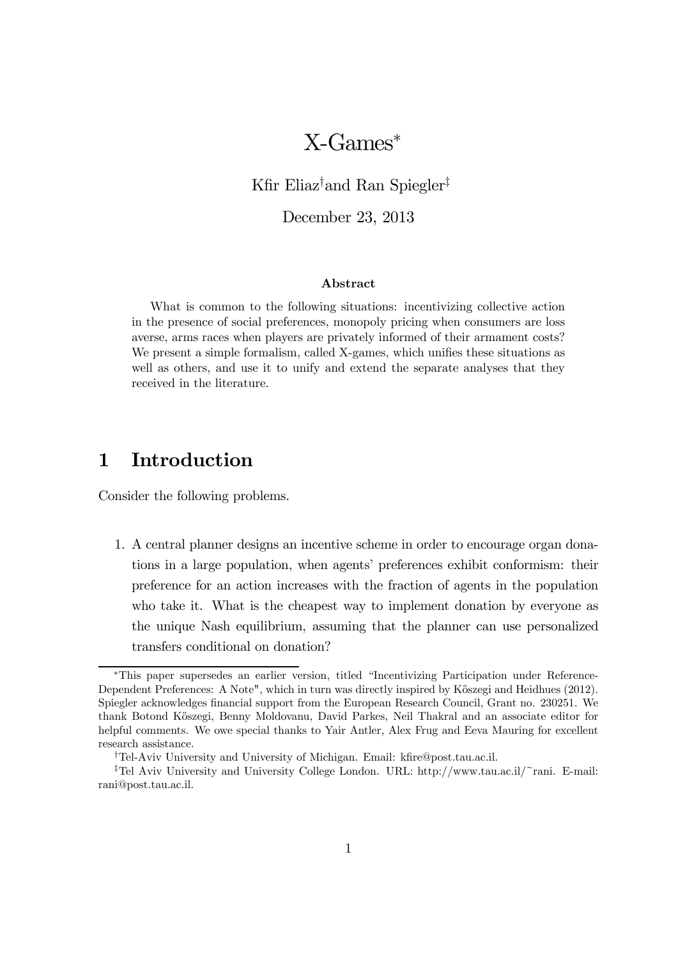# X-Games<sup>∗</sup>

Kfir Eliaz† and Ran Spiegler‡

December 23, 2013

### Abstract

What is common to the following situations: incentivizing collective action in the presence of social preferences, monopoly pricing when consumers are loss averse, arms races when players are privately informed of their armament costs? We present a simple formalism, called X-games, which unifies these situations as well as others, and use it to unify and extend the separate analyses that they received in the literature.

# 1 Introduction

Consider the following problems.

1. A central planner designs an incentive scheme in order to encourage organ donations in a large population, when agents' preferences exhibit conformism: their preference for an action increases with the fraction of agents in the population who take it. What is the cheapest way to implement donation by everyone as the unique Nash equilibrium, assuming that the planner can use personalized transfers conditional on donation?

<sup>∗</sup>This paper supersedes an earlier version, titled "Incentivizing Participation under Reference-Dependent Preferences: A Note", which in turn was directly inspired by Kőszegi and Heidhues (2012). Spiegler acknowledges financial support from the European Research Council, Grant no. 230251. We thank Botond K˝oszegi, Benny Moldovanu, David Parkes, Neil Thakral and an associate editor for helpful comments. We owe special thanks to Yair Antler, Alex Frug and Eeva Mauring for excellent research assistance.

<sup>†</sup>Tel-Aviv University and University of Michigan. Email: kfire@post.tau.ac.il.

<sup>‡</sup>Tel Aviv University and University College London. URL: http://www.tau.ac.il/~rani. E-mail: rani@post.tau.ac.il.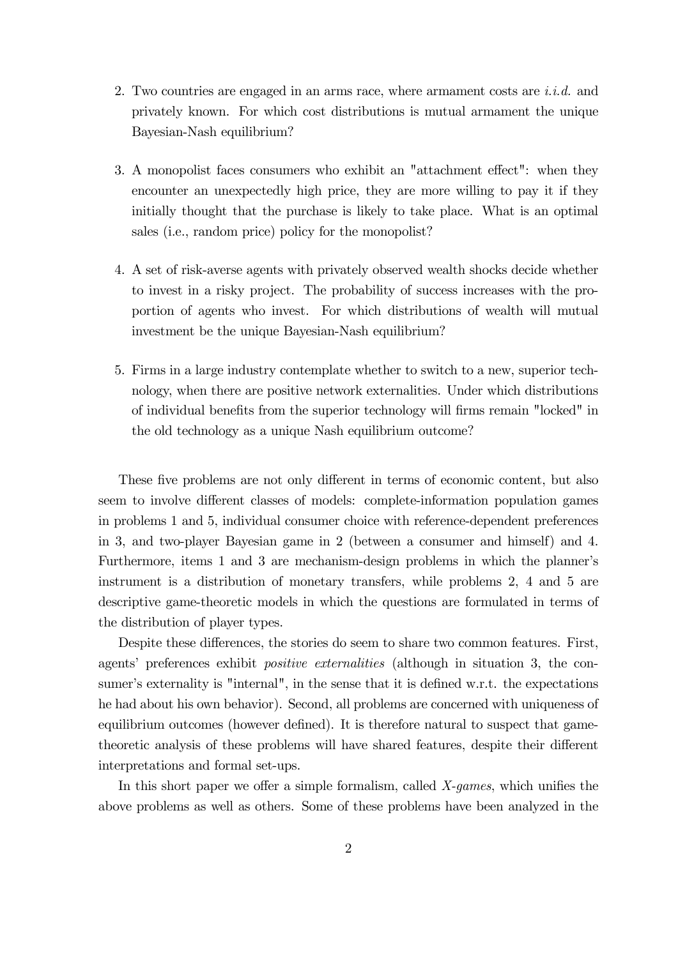- 2. Two countries are engaged in an arms race, where armament costs are  $i.i.d.$  and privately known. For which cost distributions is mutual armament the unique Bayesian-Nash equilibrium?
- 3. A monopolist faces consumers who exhibit an "attachment effect": when they encounter an unexpectedly high price, they are more willing to pay it if they initially thought that the purchase is likely to take place. What is an optimal sales (i.e., random price) policy for the monopolist?
- 4. A set of risk-averse agents with privately observed wealth shocks decide whether to invest in a risky project. The probability of success increases with the proportion of agents who invest. For which distributions of wealth will mutual investment be the unique Bayesian-Nash equilibrium?
- 5. Firms in a large industry contemplate whether to switch to a new, superior technology, when there are positive network externalities. Under which distributions of individual benefits from the superior technology will firms remain "locked" in the old technology as a unique Nash equilibrium outcome?

These five problems are not only different in terms of economic content, but also seem to involve different classes of models: complete-information population games in problems 1 and 5, individual consumer choice with reference-dependent preferences in 3, and two-player Bayesian game in 2 (between a consumer and himself) and 4. Furthermore, items 1 and 3 are mechanism-design problems in which the planner's instrument is a distribution of monetary transfers, while problems 2, 4 and 5 are descriptive game-theoretic models in which the questions are formulated in terms of the distribution of player types.

Despite these differences, the stories do seem to share two common features. First, agents' preferences exhibit positive externalities (although in situation 3, the consumer's externality is "internal", in the sense that it is defined w.r.t. the expectations he had about his own behavior). Second, all problems are concerned with uniqueness of equilibrium outcomes (however defined). It is therefore natural to suspect that gametheoretic analysis of these problems will have shared features, despite their different interpretations and formal set-ups.

In this short paper we offer a simple formalism, called X-games, which unifies the above problems as well as others. Some of these problems have been analyzed in the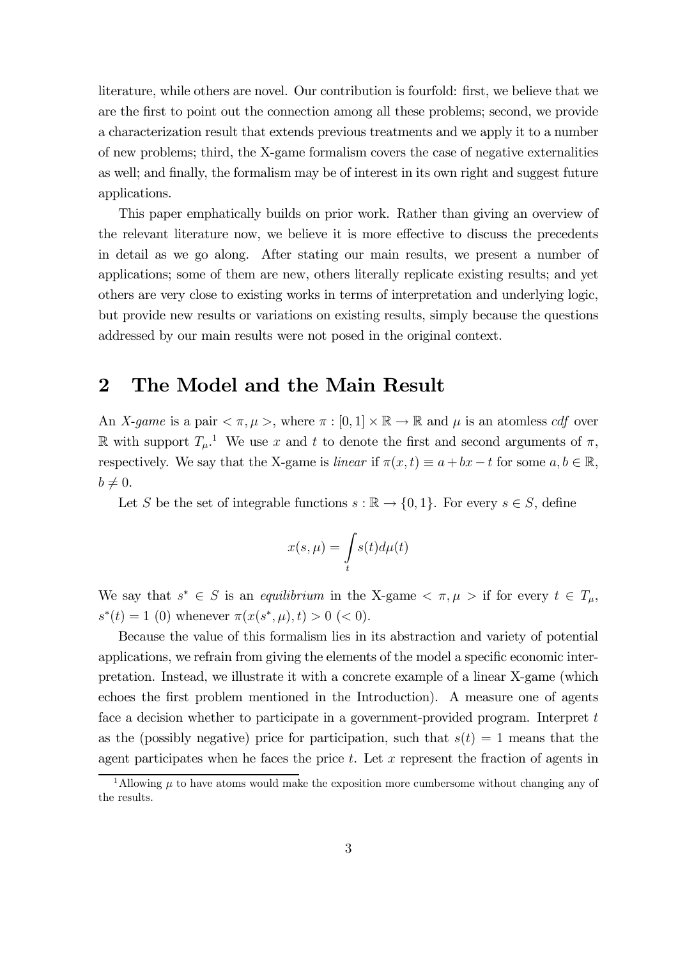literature, while others are novel. Our contribution is fourfold: first, we believe that we are the first to point out the connection among all these problems; second, we provide a characterization result that extends previous treatments and we apply it to a number of new problems; third, the X-game formalism covers the case of negative externalities as well; and finally, the formalism may be of interest in its own right and suggest future applications.

This paper emphatically builds on prior work. Rather than giving an overview of the relevant literature now, we believe it is more effective to discuss the precedents in detail as we go along. After stating our main results, we present a number of applications; some of them are new, others literally replicate existing results; and yet others are very close to existing works in terms of interpretation and underlying logic, but provide new results or variations on existing results, simply because the questions addressed by our main results were not posed in the original context.

### 2 The Model and the Main Result

An X-game is a pair  $\langle \pi, \mu \rangle$ , where  $\pi : [0,1] \times \mathbb{R} \to \mathbb{R}$  and  $\mu$  is an atomless *cdf* over  $\mathbb R$  with support  $T_{\mu}$ <sup>1</sup>. We use x and t to denote the first and second arguments of  $\pi$ , respectively. We say that the X-game is linear if  $\pi(x, t) \equiv a + bx - t$  for some  $a, b \in \mathbb{R}$ ,  $b\neq 0.$ 

Let S be the set of integrable functions  $s : \mathbb{R} \to \{0,1\}$ . For every  $s \in S$ , define

$$
x(s,\mu)=\int\limits_{t}s(t)d\mu(t)
$$

We say that  $s^* \in S$  is an equilibrium in the X-game  $\langle \pi, \mu \rangle$  if for every  $t \in T_\mu$ ,  $s^*(t) = 1$  (0) whenever  $\pi(x(s^*, \mu), t) > 0$  (< 0).

Because the value of this formalism lies in its abstraction and variety of potential applications, we refrain from giving the elements of the model a specific economic interpretation. Instead, we illustrate it with a concrete example of a linear X-game (which echoes the first problem mentioned in the Introduction). A measure one of agents face a decision whether to participate in a government-provided program. Interpret t as the (possibly negative) price for participation, such that  $s(t)=1$  means that the agent participates when he faces the price  $t$ . Let  $x$  represent the fraction of agents in

<sup>&</sup>lt;sup>1</sup>Allowing  $\mu$  to have atoms would make the exposition more cumbersome without changing any of the results.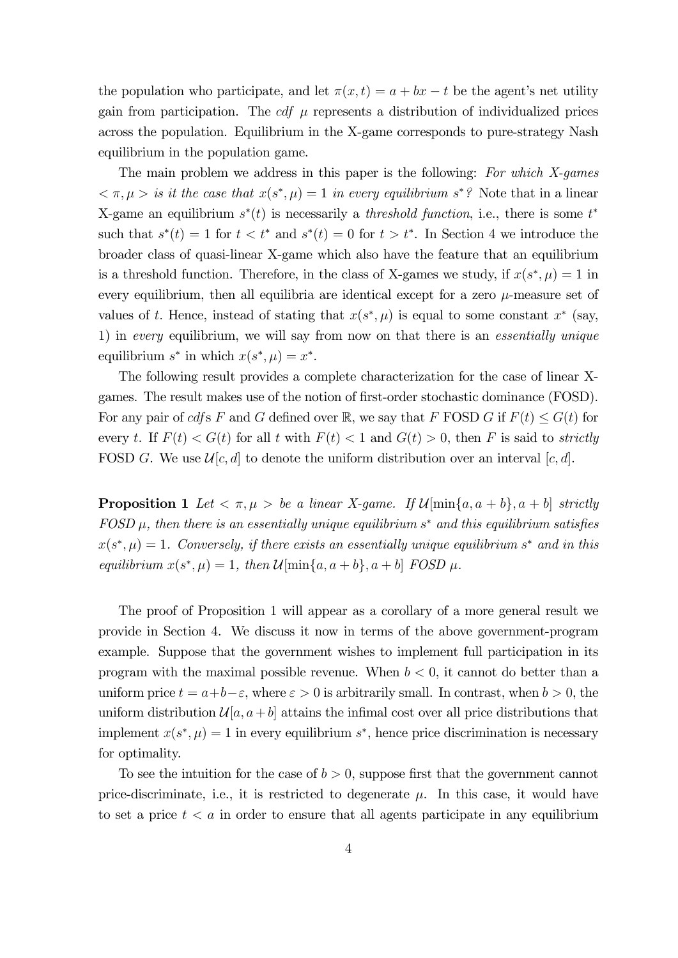the population who participate, and let  $\pi(x, t) = a + bx - t$  be the agent's net utility gain from participation. The  $cdf$   $\mu$  represents a distribution of individualized prices across the population. Equilibrium in the X-game corresponds to pure-strategy Nash equilibrium in the population game.

The main problem we address in this paper is the following: For which X-games  $\langle \pi, \mu \rangle$  is it the case that  $x(s^*, \mu)=1$  in every equilibrium  $s^*$ ? Note that in a linear X-game an equilibrium  $s^*(t)$  is necessarily a *threshold function*, i.e., there is some  $t^*$ such that  $s^*(t)=1$  for  $t < t^*$  and  $s^*(t)=0$  for  $t > t^*$ . In Section 4 we introduce the broader class of quasi-linear X-game which also have the feature that an equilibrium is a threshold function. Therefore, in the class of X-games we study, if  $x(s^*, \mu) = 1$  in every equilibrium, then all equilibria are identical except for a zero  $\mu$ -measure set of values of t. Hence, instead of stating that  $x(s^*, \mu)$  is equal to some constant  $x^*$  (say, 1) in every equilibrium, we will say from now on that there is an essentially unique equilibrium  $s^*$  in which  $x(s^*, \mu) = x^*$ .

The following result provides a complete characterization for the case of linear Xgames. The result makes use of the notion of first-order stochastic dominance (FOSD). For any pair of cdfs F and G defined over R, we say that F FOSD G if  $F(t) \leq G(t)$  for every t. If  $F(t) < G(t)$  for all t with  $F(t) < 1$  and  $G(t) > 0$ , then F is said to strictly FOSD G. We use  $\mathcal{U}[c, d]$  to denote the uniform distribution over an interval  $[c, d]$ .

**Proposition 1** Let  $\langle \pi, \mu \rangle$  be a linear X-game. If  $\mathcal{U}[\min\{a, a + b\}, a + b]$  strictly  $FOSD \mu$ , then there is an essentially unique equilibrium  $s^*$  and this equilibrium satisfies  $x(s^*, \mu) = 1$ . Conversely, if there exists an essentially unique equilibrium  $s^*$  and in this equilibrium  $x(s^*, \mu) = 1$ , then  $\mathcal{U}[\min\{a, a+b\}, a+b]$  FOSD  $\mu$ .

The proof of Proposition 1 will appear as a corollary of a more general result we provide in Section 4. We discuss it now in terms of the above government-program example. Suppose that the government wishes to implement full participation in its program with the maximal possible revenue. When  $b < 0$ , it cannot do better than a uniform price  $t = a+b-\varepsilon$ , where  $\varepsilon > 0$  is arbitrarily small. In contrast, when  $b > 0$ , the uniform distribution  $\mathcal{U}[a, a+b]$  attains the infimal cost over all price distributions that implement  $x(s^*, \mu) = 1$  in every equilibrium  $s^*$ , hence price discrimination is necessary for optimality.

To see the intuition for the case of  $b > 0$ , suppose first that the government cannot price-discriminate, i.e., it is restricted to degenerate  $\mu$ . In this case, it would have to set a price  $t < a$  in order to ensure that all agents participate in any equilibrium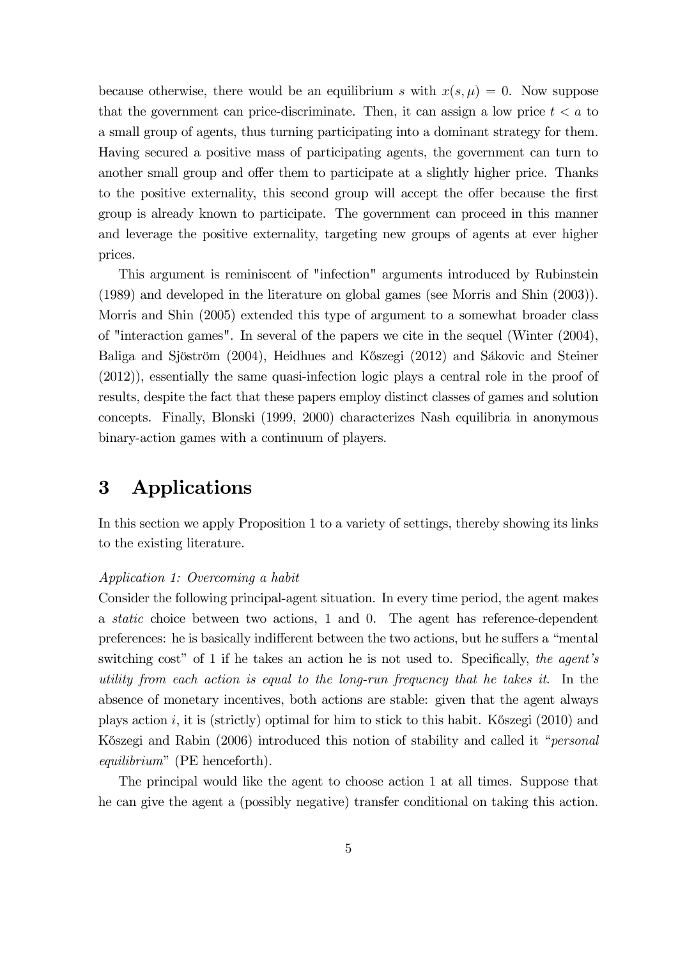because otherwise, there would be an equilibrium s with  $x(s, \mu) = 0$ . Now suppose that the government can price-discriminate. Then, it can assign a low price  $t < a$  to a small group of agents, thus turning participating into a dominant strategy for them. Having secured a positive mass of participating agents, the government can turn to another small group and offer them to participate at a slightly higher price. Thanks to the positive externality, this second group will accept the offer because the first group is already known to participate. The government can proceed in this manner and leverage the positive externality, targeting new groups of agents at ever higher prices.

This argument is reminiscent of "infection" arguments introduced by Rubinstein (1989) and developed in the literature on global games (see Morris and Shin (2003)). Morris and Shin (2005) extended this type of argument to a somewhat broader class of "interaction games". In several of the papers we cite in the sequel (Winter (2004), Baliga and Sjöström (2004), Heidhues and Kőszegi (2012) and Sákovic and Steiner (2012)), essentially the same quasi-infection logic plays a central role in the proof of results, despite the fact that these papers employ distinct classes of games and solution concepts. Finally, Blonski (1999, 2000) characterizes Nash equilibria in anonymous binary-action games with a continuum of players.

# 3 Applications

In this section we apply Proposition 1 to a variety of settings, thereby showing its links to the existing literature.

### Application 1: Overcoming a habit

Consider the following principal-agent situation. In every time period, the agent makes a static choice between two actions, 1 and 0. The agent has reference-dependent preferences: he is basically indifferent between the two actions, but he suffers a "mental switching cost" of 1 if he takes an action he is not used to. Specifically, the agent's utility from each action is equal to the long-run frequency that he takes it. In the absence of monetary incentives, both actions are stable: given that the agent always plays action  $i$ , it is (strictly) optimal for him to stick to this habit. Kőszegi (2010) and Kőszegi and Rabin (2006) introduced this notion of stability and called it "*personal* equilibrium" (PE henceforth).

The principal would like the agent to choose action 1 at all times. Suppose that he can give the agent a (possibly negative) transfer conditional on taking this action.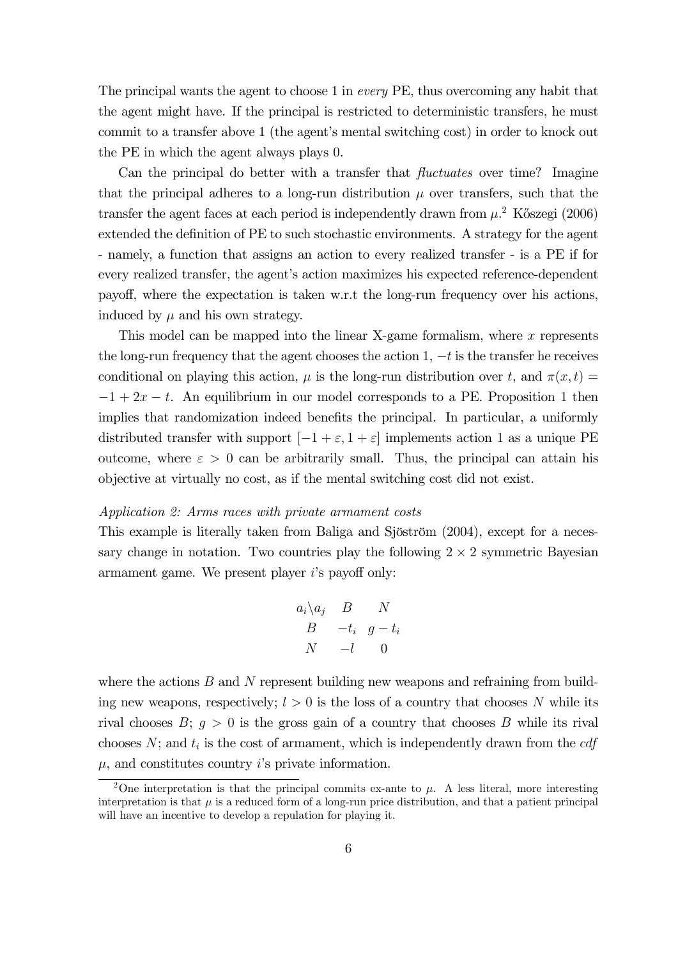The principal wants the agent to choose 1 in every PE, thus overcoming any habit that the agent might have. If the principal is restricted to deterministic transfers, he must commit to a transfer above 1 (the agent's mental switching cost) in order to knock out the PE in which the agent always plays 0.

Can the principal do better with a transfer that fluctuates over time? Imagine that the principal adheres to a long-run distribution  $\mu$  over transfers, such that the transfer the agent faces at each period is independently drawn from  $\mu$ .<sup>2</sup> Kőszegi (2006) extended the definition of PE to such stochastic environments. A strategy for the agent - namely, a function that assigns an action to every realized transfer - is a PE if for every realized transfer, the agent's action maximizes his expected reference-dependent payoff, where the expectation is taken w.r.t the long-run frequency over his actions, induced by  $\mu$  and his own strategy.

This model can be mapped into the linear X-game formalism, where  $x$  represents the long-run frequency that the agent chooses the action 1,  $-t$  is the transfer he receives conditional on playing this action,  $\mu$  is the long-run distribution over t, and  $\pi(x, t) =$  $-1+2x-t$ . An equilibrium in our model corresponds to a PE. Proposition 1 then implies that randomization indeed benefits the principal. In particular, a uniformly distributed transfer with support  $[-1 + \varepsilon, 1 + \varepsilon]$  implements action 1 as a unique PE outcome, where  $\varepsilon > 0$  can be arbitrarily small. Thus, the principal can attain his objective at virtually no cost, as if the mental switching cost did not exist.

#### Application 2: Arms races with private armament costs

This example is literally taken from Baliga and Sjöström (2004), except for a necessary change in notation. Two countries play the following  $2 \times 2$  symmetric Bayesian armament game. We present player 's payoff only:

$$
a_i \setminus a_j \quad B \qquad N
$$
  

$$
B \qquad -t_i \quad g - t_i
$$
  

$$
N \qquad -l \qquad 0
$$

where the actions  $B$  and  $N$  represent building new weapons and refraining from building new weapons, respectively;  $l > 0$  is the loss of a country that chooses N while its rival chooses  $B; g > 0$  is the gross gain of a country that chooses B while its rival chooses  $N$ ; and  $t_i$  is the cost of armament, which is independently drawn from the  $cdf$  $\mu$ , and constitutes country *i*'s private information.

<sup>&</sup>lt;sup>2</sup>One interpretation is that the principal commits ex-ante to  $\mu$ . A less literal, more interesting interpretation is that  $\mu$  is a reduced form of a long-run price distribution, and that a patient principal will have an incentive to develop a repulation for playing it.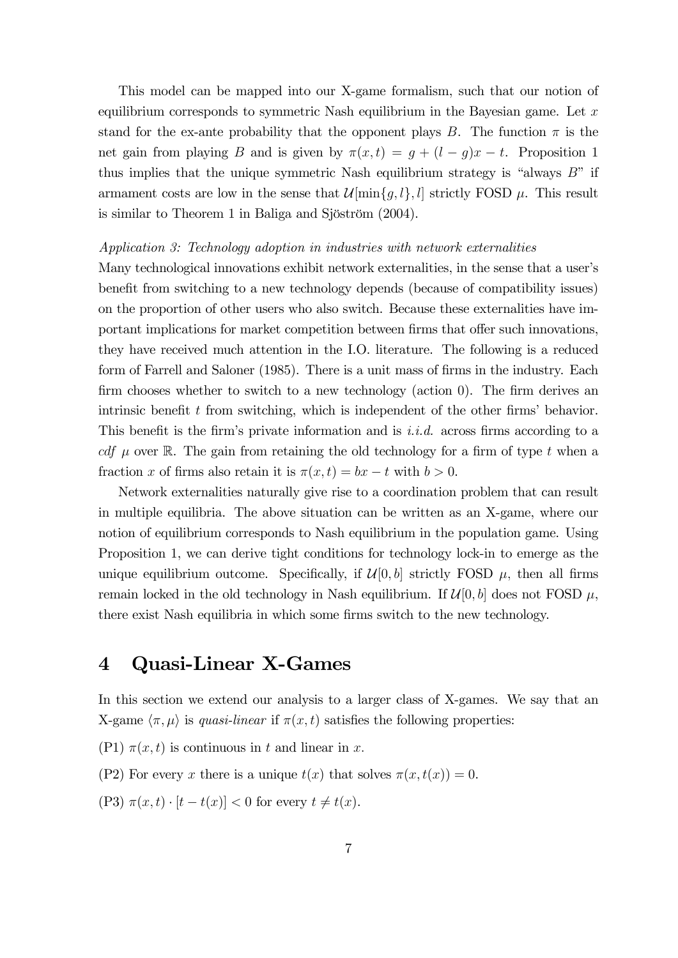This model can be mapped into our X-game formalism, such that our notion of equilibrium corresponds to symmetric Nash equilibrium in the Bayesian game. Let  $x$ stand for the ex-ante probability that the opponent plays B. The function  $\pi$  is the net gain from playing B and is given by  $\pi(x, t) = g + (l - g)x - t$ . Proposition 1 thus implies that the unique symmetric Nash equilibrium strategy is "always  $B$ " if armament costs are low in the sense that  $\mathcal{U}[\min\{g, l\}, l]$  strictly FOSD  $\mu$ . This result is similar to Theorem 1 in Baliga and Sjöström (2004).

### Application 3: Technology adoption in industries with network externalities

Many technological innovations exhibit network externalities, in the sense that a user's benefit from switching to a new technology depends (because of compatibility issues) on the proportion of other users who also switch. Because these externalities have important implications for market competition between firms that offer such innovations, they have received much attention in the I.O. literature. The following is a reduced form of Farrell and Saloner (1985). There is a unit mass of firms in the industry. Each firm chooses whether to switch to a new technology (action 0). The firm derives an intrinsic benefit  $t$  from switching, which is independent of the other firms' behavior. This benefit is the firm's private information and is  $i.i.d.$  across firms according to a cdf  $\mu$  over R. The gain from retaining the old technology for a firm of type t when a fraction x of firms also retain it is  $\pi(x, t) = bx - t$  with  $b > 0$ .

Network externalities naturally give rise to a coordination problem that can result in multiple equilibria. The above situation can be written as an X-game, where our notion of equilibrium corresponds to Nash equilibrium in the population game. Using Proposition 1, we can derive tight conditions for technology lock-in to emerge as the unique equilibrium outcome. Specifically, if  $\mathcal{U}[0, b]$  strictly FOSD  $\mu$ , then all firms remain locked in the old technology in Nash equilibrium. If  $\mathcal{U}[0, b]$  does not FOSD  $\mu$ , there exist Nash equilibria in which some firms switch to the new technology.

# 4 Quasi-Linear X-Games

In this section we extend our analysis to a larger class of X-games. We say that an X-game  $\langle \pi, \mu \rangle$  is quasi-linear if  $\pi(x, t)$  satisfies the following properties:

- (P1)  $\pi(x, t)$  is continuous in t and linear in x.
- (P2) For every x there is a unique  $t(x)$  that solves  $\pi(x, t(x)) = 0$ .
- (P3)  $\pi(x, t) \cdot [t t(x)] < 0$  for every  $t \neq t(x)$ .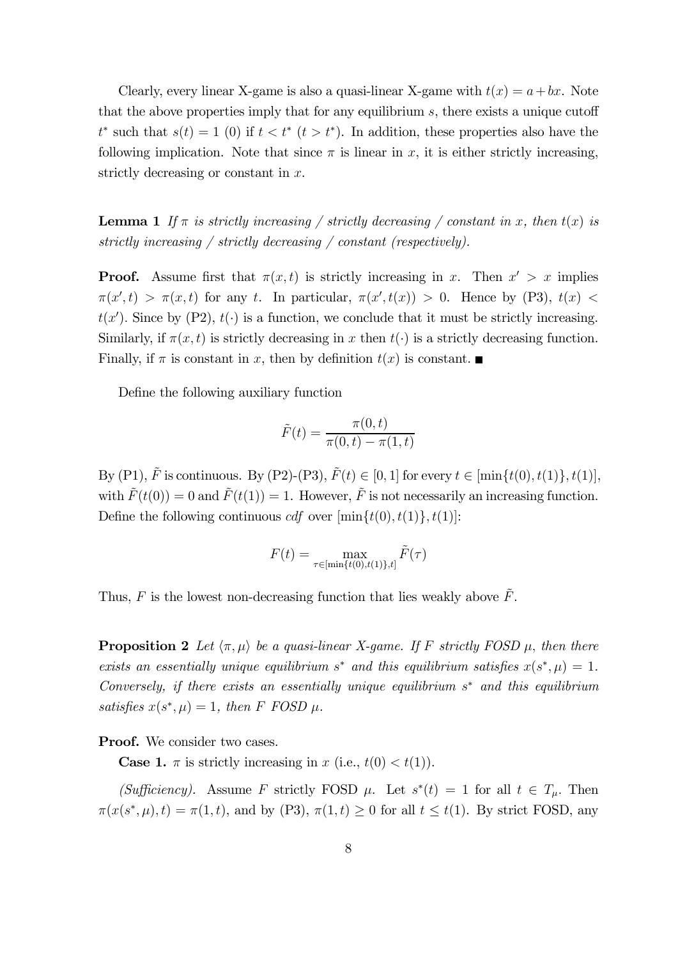Clearly, every linear X-game is also a quasi-linear X-game with  $t(x) = a + bx$ . Note that the above properties imply that for any equilibrium  $s$ , there exists a unique cutoff  $t^*$  such that  $s(t)=1$  (0) if  $t < t^*$  ( $t > t^*$ ). In addition, these properties also have the following implication. Note that since  $\pi$  is linear in x, it is either strictly increasing, strictly decreasing or constant in  $x$ .

**Lemma 1** If  $\pi$  is strictly increasing / strictly decreasing / constant in x, then  $t(x)$  is strictly increasing / strictly decreasing / constant (respectively).

**Proof.** Assume first that  $\pi(x, t)$  is strictly increasing in x. Then  $x' > x$  implies  $\pi(x',t) > \pi(x,t)$  for any t. In particular,  $\pi(x',t(x)) > 0$ . Hence by (P3),  $t(x) <$  $t(x')$ . Since by (P2),  $t(\cdot)$  is a function, we conclude that it must be strictly increasing. Similarly, if  $\pi(x, t)$  is strictly decreasing in x then  $t(\cdot)$  is a strictly decreasing function. Finally, if  $\pi$  is constant in x, then by definition  $t(x)$  is constant.

Define the following auxiliary function

$$
\tilde{F}(t) = \frac{\pi(0, t)}{\pi(0, t) - \pi(1, t)}
$$

By (P1),  $\tilde{F}$  is continuous. By (P2)-(P3),  $\tilde{F}(t) \in [0, 1]$  for every  $t \in [\min\{t(0), t(1)\}, t(1)],$ with  $\tilde{F}(t(0)) = 0$  and  $\tilde{F}(t(1)) = 1$ . However,  $\tilde{F}$  is not necessarily an increasing function. Define the following continuous  $cdf$  over  $[\min\{t(0), t(1)\}, t(1)]$ :

$$
F(t) = \max_{\tau \in [\min\{t(0), t(1)\}, t]} \tilde{F}(\tau)
$$

Thus, F is the lowest non-decreasing function that lies weakly above  $\tilde{F}$ .

**Proposition 2** Let  $\langle \pi, \mu \rangle$  be a quasi-linear X-game. If F strictly FOSD  $\mu$ , then there exists an essentially unique equilibrium s<sup>\*</sup> and this equilibrium satisfies  $x(s^*, \mu) = 1$ . Conversely, if there exists an essentially unique equilibrium  $s^*$  and this equilibrium satisfies  $x(s^*, \mu) = 1$ , then F FOSD  $\mu$ .

Proof. We consider two cases.

**Case 1.**  $\pi$  is strictly increasing in  $x$  (i.e.,  $t(0) < t(1)$ ).

(Sufficiency). Assume F strictly FOSD  $\mu$ . Let  $s^*(t)=1$  for all  $t \in T_{\mu}$ . Then  $\pi(x(s^*, \mu), t) = \pi(1, t)$ , and by (P3),  $\pi(1, t) \geq 0$  for all  $t \leq t(1)$ . By strict FOSD, any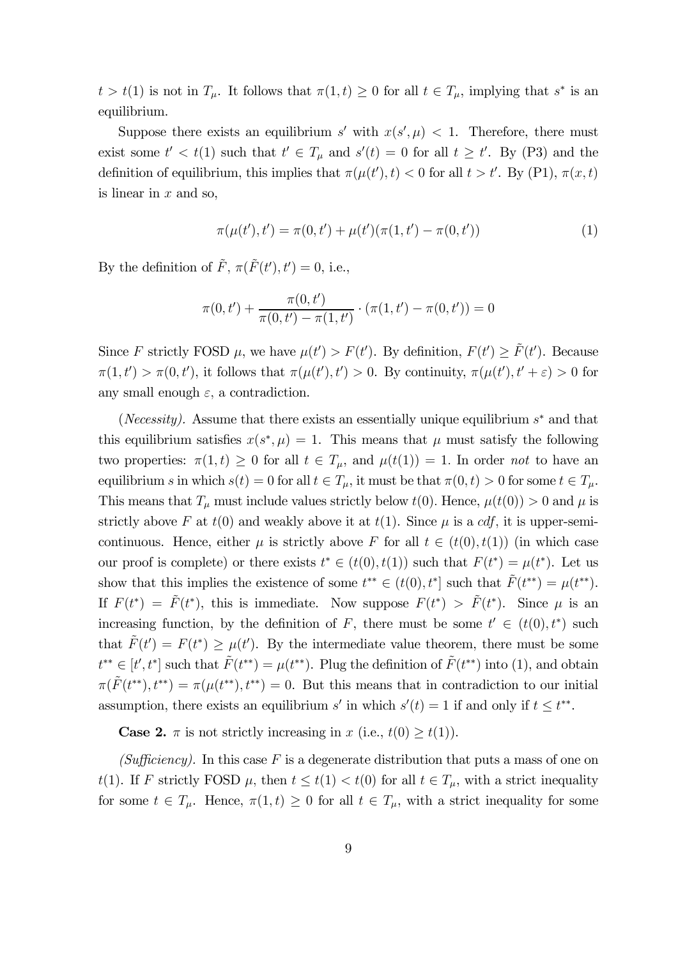$t > t(1)$  is not in  $T_{\mu}$ . It follows that  $\pi(1, t) \geq 0$  for all  $t \in T_{\mu}$ , implying that  $s^*$  is an equilibrium.

Suppose there exists an equilibrium s' with  $x(s', \mu) < 1$ . Therefore, there must exist some  $t' < t(1)$  such that  $t' \in T_\mu$  and  $s'(t) = 0$  for all  $t \geq t'$ . By (P3) and the definition of equilibrium, this implies that  $\pi(\mu(t'), t) < 0$  for all  $t > t'$ . By (P1),  $\pi(x, t)$ is linear in  $x$  and so,

$$
\pi(\mu(t'), t') = \pi(0, t') + \mu(t')(\pi(1, t') - \pi(0, t')) \tag{1}
$$

By the definition of  $\tilde{F}$ ,  $\pi(\tilde{F}(t'), t') = 0$ , i.e.,

$$
\pi(0, t') + \frac{\pi(0, t')}{\pi(0, t') - \pi(1, t')} \cdot (\pi(1, t') - \pi(0, t')) = 0
$$

Since F strictly FOSD  $\mu$ , we have  $\mu(t') > F(t')$ . By definition,  $F(t') \geq \tilde{F}(t')$ . Because  $\pi(1,t') > \pi(0,t')$ , it follows that  $\pi(\mu(t'),t') > 0$ . By continuity,  $\pi(\mu(t'),t' + \varepsilon) > 0$  for any small enough  $\varepsilon$ , a contradiction.

(*Necessity*). Assume that there exists an essentially unique equilibrium  $s^*$  and that this equilibrium satisfies  $x(s^*, \mu) = 1$ . This means that  $\mu$  must satisfy the following two properties:  $\pi(1, t) \geq 0$  for all  $t \in T_{\mu}$ , and  $\mu(t(1)) = 1$ . In order not to have an equilibrium s in which  $s(t)=0$  for all  $t \in T_{\mu}$ , it must be that  $\pi(0, t) > 0$  for some  $t \in T_{\mu}$ . This means that  $T_{\mu}$  must include values strictly below  $t(0)$ . Hence,  $\mu(t(0)) > 0$  and  $\mu$  is strictly above F at  $t(0)$  and weakly above it at  $t(1)$ . Since  $\mu$  is a *cdf*, it is upper-semicontinuous. Hence, either  $\mu$  is strictly above F for all  $t \in (t(0), t(1))$  (in which case our proof is complete) or there exists  $t^* \in (t(0), t(1))$  such that  $F(t^*) = \mu(t^*)$ . Let us show that this implies the existence of some  $t^{**} \in (t(0), t^*]$  such that  $\tilde{F}(t^{**}) = \mu(t^{**}).$ If  $F(t^*) = \tilde{F}(t^*)$ , this is immediate. Now suppose  $F(t^*) > \tilde{F}(t^*)$ . Since  $\mu$  is an increasing function, by the definition of F, there must be some  $t' \in (t(0), t^*)$  such that  $\tilde{F}(t') = F(t^*) \geq \mu(t')$ . By the intermediate value theorem, there must be some  $t^{**} \in [t', t^*]$  such that  $\tilde{F}(t^{**}) = \mu(t^{**})$ . Plug the definition of  $\tilde{F}(t^{**})$  into (1), and obtain  $\pi(F(t^{**}), t^{**}) = \pi(\mu(t^{**}), t^{**}) = 0$ . But this means that in contradiction to our initial assumption, there exists an equilibrium  $s'$  in which  $s'(t) = 1$  if and only if  $t \leq t^{**}$ .

**Case 2.**  $\pi$  is not strictly increasing in  $x$  (i.e.,  $t(0) \geq t(1)$ ).

(Sufficiency). In this case F is a degenerate distribution that puts a mass of one on  $t(1)$ . If F strictly FOSD  $\mu$ , then  $t \leq t(1) < t(0)$  for all  $t \in T_{\mu}$ , with a strict inequality for some  $t \in T_\mu$ . Hence,  $\pi(1, t) \geq 0$  for all  $t \in T_\mu$ , with a strict inequality for some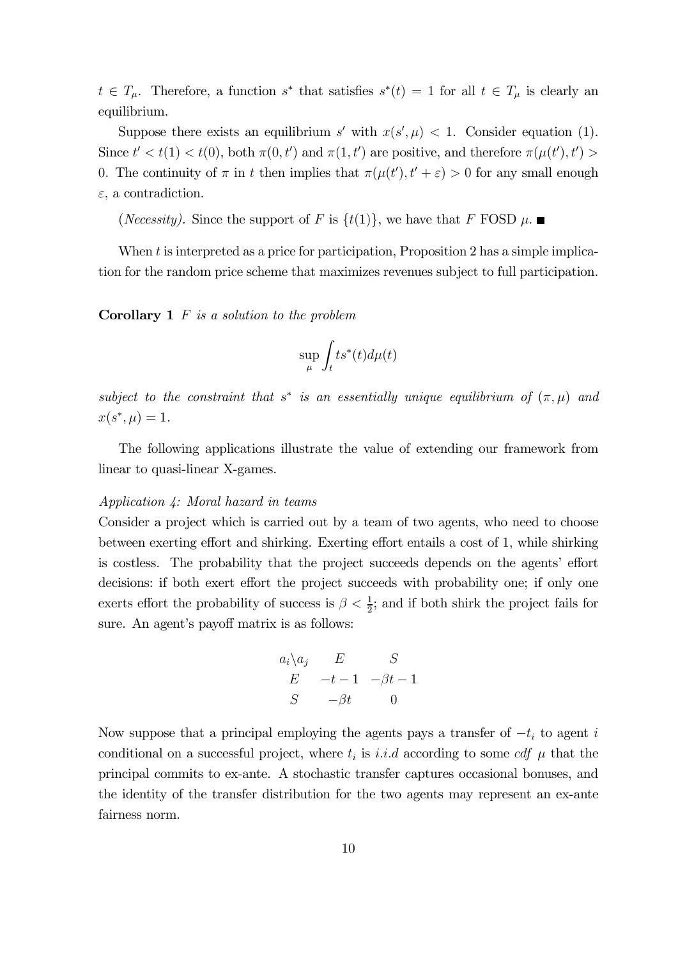$t \in T_\mu$ . Therefore, a function s<sup>\*</sup> that satisfies  $s^*(t)=1$  for all  $t \in T_\mu$  is clearly an equilibrium.

Suppose there exists an equilibrium s' with  $x(s', \mu) < 1$ . Consider equation (1). Since  $t' < t(1) < t(0)$ , both  $\pi(0, t')$  and  $\pi(1, t')$  are positive, and therefore  $\pi(\mu(t'), t') >$ 0. The continuity of  $\pi$  in t then implies that  $\pi(\mu(t'), t' + \varepsilon) > 0$  for any small enough  $\varepsilon$ , a contradiction.

(*Necessity*). Since the support of F is  $\{t(1)\}\)$ , we have that F FOSD  $\mu$ .

When  $t$  is interpreted as a price for participation, Proposition 2 has a simple implication for the random price scheme that maximizes revenues subject to full participation.

**Corollary 1**  $F$  is a solution to the problem

$$
\sup_{\mu}\int_{t}ts^{\ast}(t)d\mu(t)
$$

subject to the constraint that  $s^*$  is an essentially unique equilibrium of  $(\pi, \mu)$  and  $x(s^*, \mu) = 1.$ 

The following applications illustrate the value of extending our framework from linear to quasi-linear X-games.

### Application 4: Moral hazard in teams

Consider a project which is carried out by a team of two agents, who need to choose between exerting effort and shirking. Exerting effort entails a cost of 1, while shirking is costless. The probability that the project succeeds depends on the agents' effort decisions: if both exert effort the project succeeds with probability one; if only one exerts effort the probability of success is  $\beta < \frac{1}{2}$ ; and if both shirk the project fails for sure. An agent's payoff matrix is as follows:

$$
a_i \setminus a_j \qquad E \qquad S
$$
  
\n
$$
E \qquad -t-1 \qquad -\beta t-1
$$
  
\n
$$
S \qquad -\beta t \qquad 0
$$

Now suppose that a principal employing the agents pays a transfer of  $-t_i$  to agent i conditional on a successful project, where  $t_i$  is *i.i.d* according to some *cdf*  $\mu$  that the principal commits to ex-ante. A stochastic transfer captures occasional bonuses, and the identity of the transfer distribution for the two agents may represent an ex-ante fairness norm.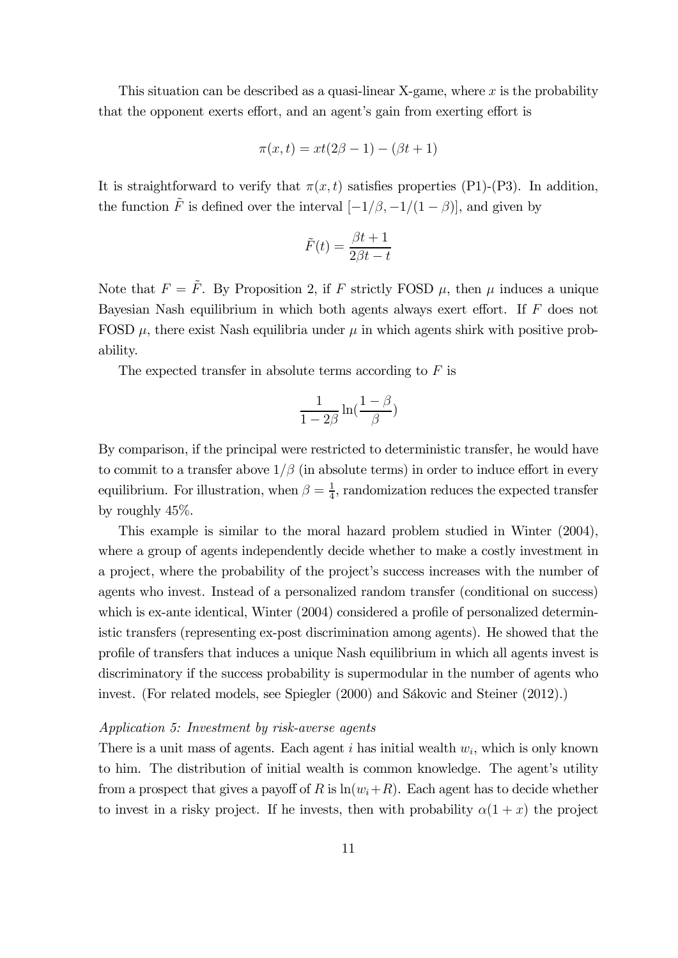This situation can be described as a quasi-linear X-game, where  $x$  is the probability that the opponent exerts effort, and an agent's gain from exerting effort is

$$
\pi(x,t) = xt(2\beta - 1) - (\beta t + 1)
$$

It is straightforward to verify that  $\pi(x, t)$  satisfies properties (P1)-(P3). In addition, the function  $\tilde{F}$  is defined over the interval  $[-1/\beta, -1/(1 - \beta)]$ , and given by

$$
\tilde{F}(t) = \frac{\beta t + 1}{2\beta t - t}
$$

Note that  $F = \tilde{F}$ . By Proposition 2, if F strictly FOSD  $\mu$ , then  $\mu$  induces a unique Bayesian Nash equilibrium in which both agents always exert effort. If  $F$  does not FOSD  $\mu$ , there exist Nash equilibria under  $\mu$  in which agents shirk with positive probability.

The expected transfer in absolute terms according to  $F$  is

$$
\frac{1}{1-2\beta}\ln\left(\frac{1-\beta}{\beta}\right)
$$

By comparison, if the principal were restricted to deterministic transfer, he would have to commit to a transfer above  $1/\beta$  (in absolute terms) in order to induce effort in every equilibrium. For illustration, when  $\beta = \frac{1}{4}$ , randomization reduces the expected transfer by roughly 45%.

This example is similar to the moral hazard problem studied in Winter (2004), where a group of agents independently decide whether to make a costly investment in a project, where the probability of the project's success increases with the number of agents who invest. Instead of a personalized random transfer (conditional on success) which is ex-ante identical, Winter  $(2004)$  considered a profile of personalized deterministic transfers (representing ex-post discrimination among agents). He showed that the profile of transfers that induces a unique Nash equilibrium in which all agents invest is discriminatory if the success probability is supermodular in the number of agents who invest. (For related models, see Spiegler (2000) and Sákovic and Steiner (2012).)

### Application 5: Investment by risk-averse agents

There is a unit mass of agents. Each agent  $i$  has initial wealth  $w_i$ , which is only known to him. The distribution of initial wealth is common knowledge. The agent's utility from a prospect that gives a payoff of R is  $ln(w_i+R)$ . Each agent has to decide whether to invest in a risky project. If he invests, then with probability  $\alpha(1 + x)$  the project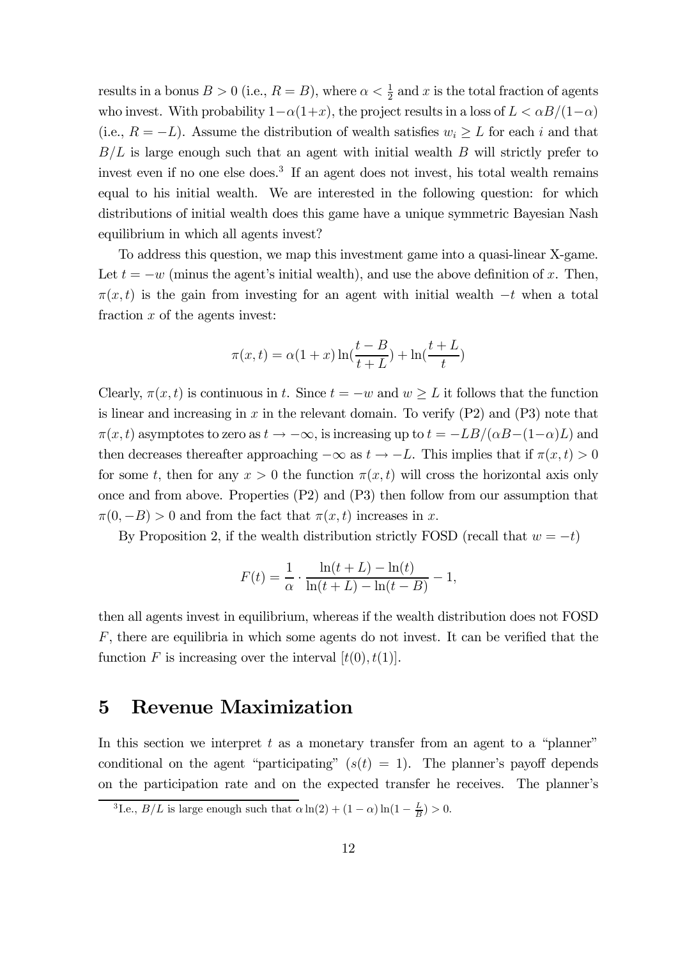results in a bonus  $B > 0$  (i.e.,  $R = B$ ), where  $\alpha < \frac{1}{2}$  and x is the total fraction of agents who invest. With probability  $1-\alpha(1+x)$ , the project results in a loss of  $L < \alpha B/(1-\alpha)$ (i.e.,  $R = -L$ ). Assume the distribution of wealth satisfies  $w_i \geq L$  for each i and that  $B/L$  is large enough such that an agent with initial wealth  $B$  will strictly prefer to invest even if no one else does.<sup>3</sup> If an agent does not invest, his total wealth remains equal to his initial wealth. We are interested in the following question: for which distributions of initial wealth does this game have a unique symmetric Bayesian Nash equilibrium in which all agents invest?

To address this question, we map this investment game into a quasi-linear X-game. Let  $t = -w$  (minus the agent's initial wealth), and use the above definition of x. Then,  $\pi(x, t)$  is the gain from investing for an agent with initial wealth  $-t$  when a total fraction  $x$  of the agents invest:

$$
\pi(x,t) = \alpha(1+x)\ln(\frac{t-B}{t+L}) + \ln(\frac{t+L}{t})
$$

Clearly,  $\pi(x, t)$  is continuous in t. Since  $t = -w$  and  $w \geq L$  it follows that the function is linear and increasing in  $x$  in the relevant domain. To verify  $(P2)$  and  $(P3)$  note that  $\pi(x, t)$  asymptotes to zero as  $t \to -\infty$ , is increasing up to  $t = -LB/(\alpha B-(1-\alpha)L)$  and then decreases thereafter approaching  $-\infty$  as  $t \to -L$ . This implies that if  $\pi(x, t) > 0$ for some t, then for any  $x > 0$  the function  $\pi(x, t)$  will cross the horizontal axis only once and from above. Properties (P2) and (P3) then follow from our assumption that  $\pi(0, -B) > 0$  and from the fact that  $\pi(x, t)$  increases in x.

By Proposition 2, if the wealth distribution strictly FOSD (recall that  $w = -t$ )

$$
F(t) = \frac{1}{\alpha} \cdot \frac{\ln(t + L) - \ln(t)}{\ln(t + L) - \ln(t - B)} - 1,
$$

then all agents invest in equilibrium, whereas if the wealth distribution does not FOSD  $F$ , there are equilibria in which some agents do not invest. It can be verified that the function F is increasing over the interval  $[t(0), t(1)]$ .

### 5 Revenue Maximization

In this section we interpret  $t$  as a monetary transfer from an agent to a "planner" conditional on the agent "participating"  $(s(t) = 1)$ . The planner's payoff depends on the participation rate and on the expected transfer he receives. The planner's

<sup>&</sup>lt;sup>3</sup>I.e.,  $B/L$  is large enough such that  $\alpha \ln(2) + (1 - \alpha) \ln(1 - \frac{L}{B}) > 0$ .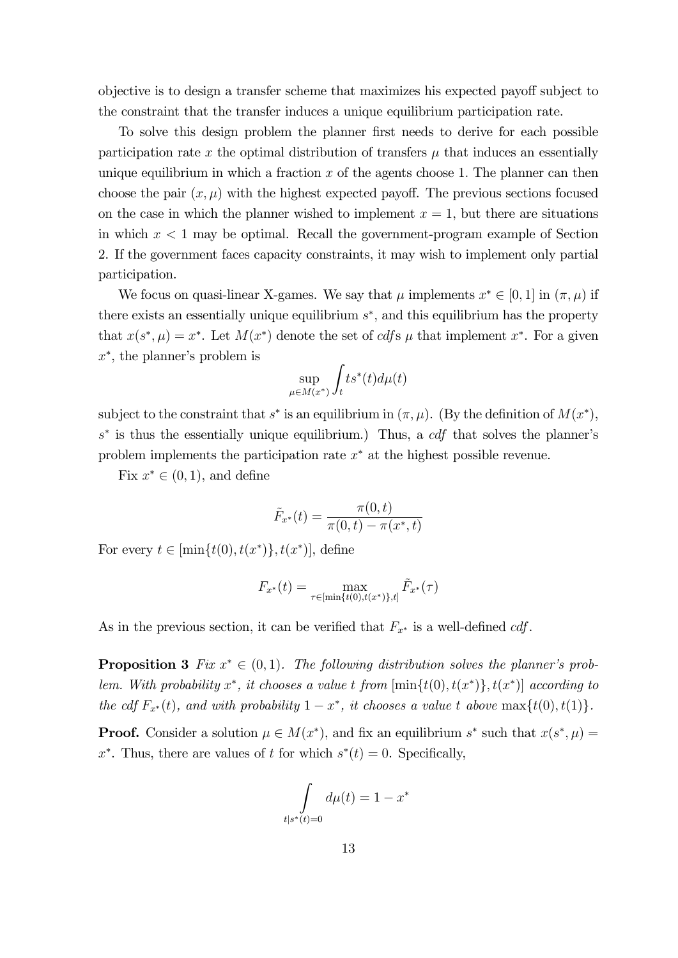objective is to design a transfer scheme that maximizes his expected payoff subject to the constraint that the transfer induces a unique equilibrium participation rate.

To solve this design problem the planner first needs to derive for each possible participation rate x the optimal distribution of transfers  $\mu$  that induces an essentially unique equilibrium in which a fraction  $x$  of the agents choose 1. The planner can then choose the pair  $(x, \mu)$  with the highest expected payoff. The previous sections focused on the case in which the planner wished to implement  $x = 1$ , but there are situations in which  $x < 1$  may be optimal. Recall the government-program example of Section 2. If the government faces capacity constraints, it may wish to implement only partial participation.

We focus on quasi-linear X-games. We say that  $\mu$  implements  $x^* \in [0, 1]$  in  $(\pi, \mu)$  if there exists an essentially unique equilibrium  $s^*$ , and this equilibrium has the property that  $x(s^*, \mu) = x^*$ . Let  $M(x^*)$  denote the set of cdfs  $\mu$  that implement  $x^*$ . For a given  $x^*$ , the planner's problem is

$$
\sup_{\mu \in M(x^*)} \int_t t s^*(t) d\mu(t)
$$

subject to the constraint that  $s^*$  is an equilibrium in  $(\pi, \mu)$ . (By the definition of  $M(x^*)$ ,  $s^*$  is thus the essentially unique equilibrium.) Thus, a  $cdf$  that solves the planner's problem implements the participation rate  $x^*$  at the highest possible revenue.

Fix  $x^* \in (0,1)$ , and define

$$
\tilde{F}_{x^*}(t) = \frac{\pi(0, t)}{\pi(0, t) - \pi(x^*, t)}
$$

For every  $t \in [\min\{t(0), t(x^*)\}, t(x^*)]$ , define

$$
F_{x^*}(t) = \max_{\tau \in [\min\{t(0), t(x^*)\}, t]} \tilde{F}_{x^*}(\tau)
$$

As in the previous section, it can be verified that  $F_{x^*}$  is a well-defined cdf.

**Proposition 3** Fix  $x^* \in (0,1)$ . The following distribution solves the planner's problem. With probability  $x^*$ , it chooses a value t from  $[\min\{t(0), t(x^*)\}, t(x^*)]$  according to the cdf  $F_{x^*}(t)$ , and with probability  $1 - x^*$ , it chooses a value t above max $\{t(0), t(1)\}.$ 

**Proof.** Consider a solution  $\mu \in M(x^*)$ , and fix an equilibrium  $s^*$  such that  $x(s^*, \mu) =$  $x^*$ . Thus, there are values of t for which  $s^*(t)=0$ . Specifically,

$$
\int\limits_{t|s^*(t)=0}d\mu(t) = 1 - x^*
$$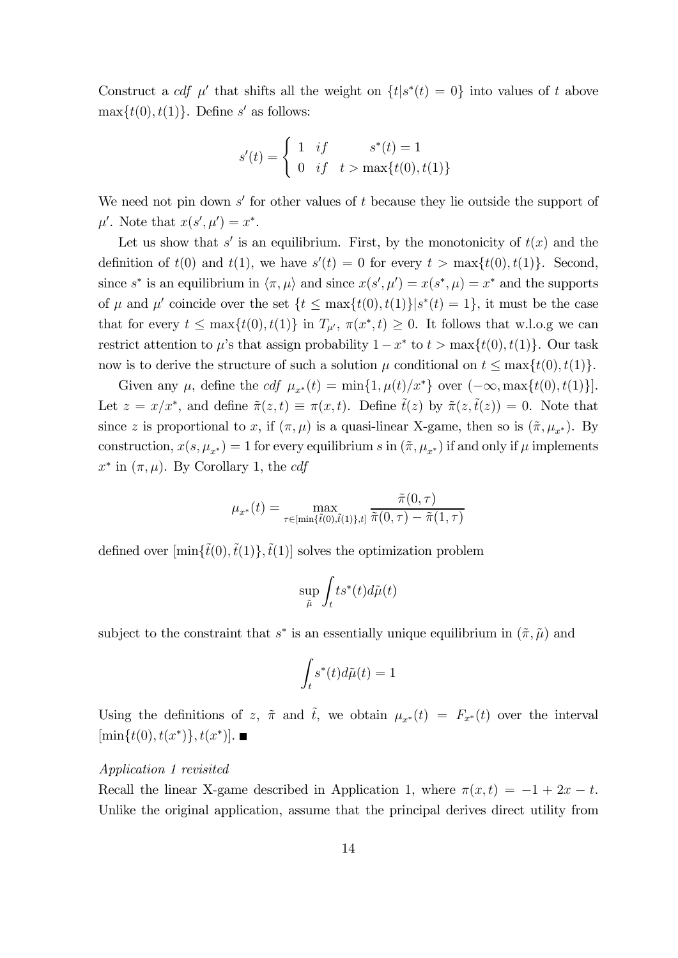Construct a cdf  $\mu'$  that shifts all the weight on  $\{t | s^*(t) = 0\}$  into values of t above  $\max\{t(0), t(1)\}.$  Define s' as follows:

$$
s'(t) = \begin{cases} 1 & if & s^*(t) = 1 \\ 0 & if & t > \max\{t(0), t(1)\} \end{cases}
$$

We need not pin down  $s'$  for other values of  $t$  because they lie outside the support of  $\mu'$ . Note that  $x(s', \mu') = x^*$ .

Let us show that s' is an equilibrium. First, by the monotonicity of  $t(x)$  and the definition of  $t(0)$  and  $t(1)$ , we have  $s'(t) = 0$  for every  $t > \max\{t(0), t(1)\}$ . Second, since  $s^*$  is an equilibrium in  $\langle \pi, \mu \rangle$  and since  $x(s', \mu') = x(s^*, \mu) = x^*$  and the supports of  $\mu$  and  $\mu'$  coincide over the set  $\{t \leq \max\{t(0), t(1)\}|s^*(t)=1\}$ , it must be the case that for every  $t \leq \max\{t(0), t(1)\}$  in  $T_{\mu}$ ,  $\pi(x^*, t) \geq 0$ . It follows that w.l.o.g we can restrict attention to  $\mu$ 's that assign probability  $1-x^*$  to  $t > \max\{t(0), t(1)\}\)$ . Our task now is to derive the structure of such a solution  $\mu$  conditional on  $t \leq \max\{t(0), t(1)\}.$ 

Given any  $\mu$ , define the  $cdf \mu_{x^*}(t) = \min\{1, \mu(t)/x^*\}$  over  $(-\infty, \max\{t(0), t(1)\}]$ . Let  $z = x/x^*$ , and define  $\tilde{\pi}(z, t) \equiv \pi(x, t)$ . Define  $\tilde{t}(z)$  by  $\tilde{\pi}(z, \tilde{t}(z)) = 0$ . Note that since z is proportional to x, if  $(\pi, \mu)$  is a quasi-linear X-game, then so is  $(\tilde{\pi}, \mu_{x^*})$ . By construction,  $x(s, \mu_{x^*})=1$  for every equilibrium s in  $(\tilde{\pi}, \mu_{x^*})$  if and only if  $\mu$  implements  $x^*$  in  $(\pi, \mu)$ . By Corollary 1, the cdf

$$
\mu_{x^*}(t) = \max_{\tau \in [\min\{\tilde{t}(0), \tilde{t}(1)\}, t]} \frac{\tilde{\pi}(0, \tau)}{\tilde{\pi}(0, \tau) - \tilde{\pi}(1, \tau)}
$$

defined over  $[\min{\{\tilde{t}(0), \tilde{t}(1)\}}, \tilde{t}(1)]$  solves the optimization problem

$$
\sup_{\tilde{\mu}} \int_t t s^*(t) d\tilde{\mu}(t)
$$

subject to the constraint that  $s^*$  is an essentially unique equilibrium in  $(\tilde{\pi}, \tilde{\mu})$  and

$$
\int_t s^*(t) d\tilde{\mu}(t) = 1
$$

Using the definitions of z,  $\tilde{\pi}$  and  $\tilde{t}$ , we obtain  $\mu_{x^*}(t) = F_{x^*}(t)$  over the interval  $[\min\{t(0), t(x^*)\}, t(x^*)]$ .

### Application 1 revisited

Recall the linear X-game described in Application 1, where  $\pi(x, t) = -1 + 2x - t$ . Unlike the original application, assume that the principal derives direct utility from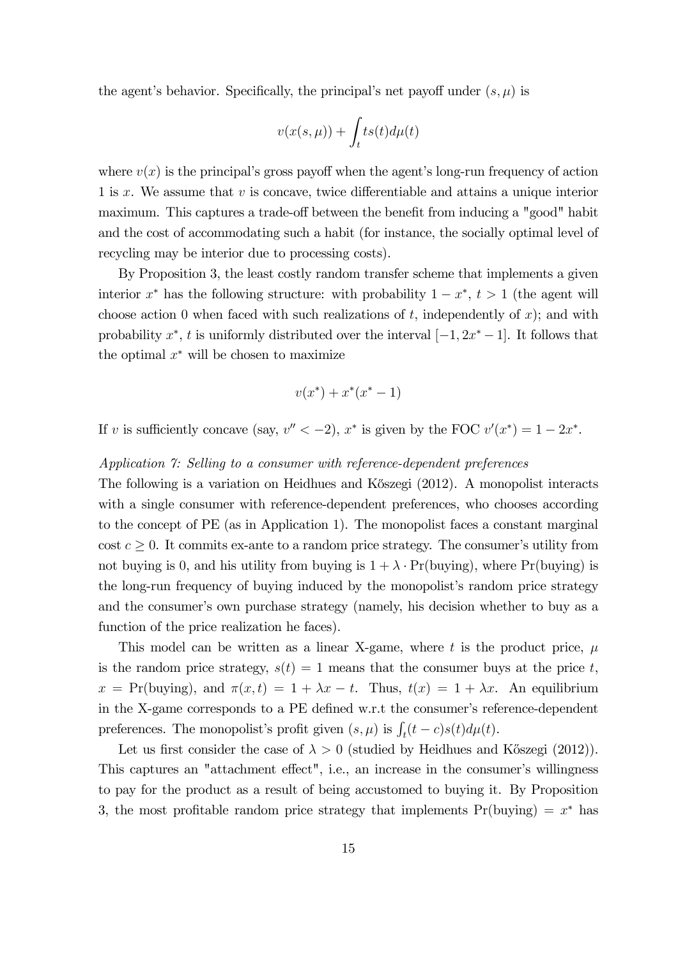the agent's behavior. Specifically, the principal's net payoff under  $(s, \mu)$  is

$$
v(x(s,\mu))+\int_{t}ts(t)d\mu(t)
$$

where  $v(x)$  is the principal's gross payoff when the agent's long-run frequency of action 1 is  $x$ . We assume that  $v$  is concave, twice differentiable and attains a unique interior maximum. This captures a trade-off between the benefit from inducing a "good" habit and the cost of accommodating such a habit (for instance, the socially optimal level of recycling may be interior due to processing costs).

By Proposition 3, the least costly random transfer scheme that implements a given interior  $x^*$  has the following structure: with probability  $1 - x^*$ ,  $t > 1$  (the agent will choose action 0 when faced with such realizations of  $t$ , independently of  $x$ ); and with probability  $x^*$ ,  $t$  is uniformly distributed over the interval  $[-1, 2x^* - 1]$ . It follows that the optimal  $x^*$  will be chosen to maximize

$$
v(x^*) + x^*(x^* - 1)
$$

If v is sufficiently concave (say,  $v'' < -2$ ),  $x^*$  is given by the FOC  $v'(x^*) = 1 - 2x^*$ .

### Application 7: Selling to a consumer with reference-dependent preferences

The following is a variation on Heidhues and K˝oszegi (2012). A monopolist interacts with a single consumer with reference-dependent preferences, who chooses according to the concept of PE (as in Application 1). The monopolist faces a constant marginal cost  $c \geq 0$ . It commits ex-ante to a random price strategy. The consumer's utility from not buying is 0, and his utility from buying is  $1 + \lambda \cdot Pr(buying)$ , where  $Pr(buying)$  is the long-run frequency of buying induced by the monopolist's random price strategy and the consumer's own purchase strategy (namely, his decision whether to buy as a function of the price realization he faces).

This model can be written as a linear X-game, where t is the product price,  $\mu$ is the random price strategy,  $s(t)=1$  means that the consumer buys at the price t,  $x = Pr(buying)$ , and  $\pi(x, t) = 1 + \lambda x - t$ . Thus,  $t(x) = 1 + \lambda x$ . An equilibrium in the X-game corresponds to a PE defined w.r.t the consumer's reference-dependent preferences. The monopolist's profit given  $(s, \mu)$  is  $\int_t (t - c) s(t) d\mu(t)$ .

Let us first consider the case of  $\lambda > 0$  (studied by Heidhues and Kőszegi (2012)). This captures an "attachment effect", i.e., an increase in the consumer's willingness to pay for the product as a result of being accustomed to buying it. By Proposition 3, the most profitable random price strategy that implements  $Pr(buying) = x^*$  has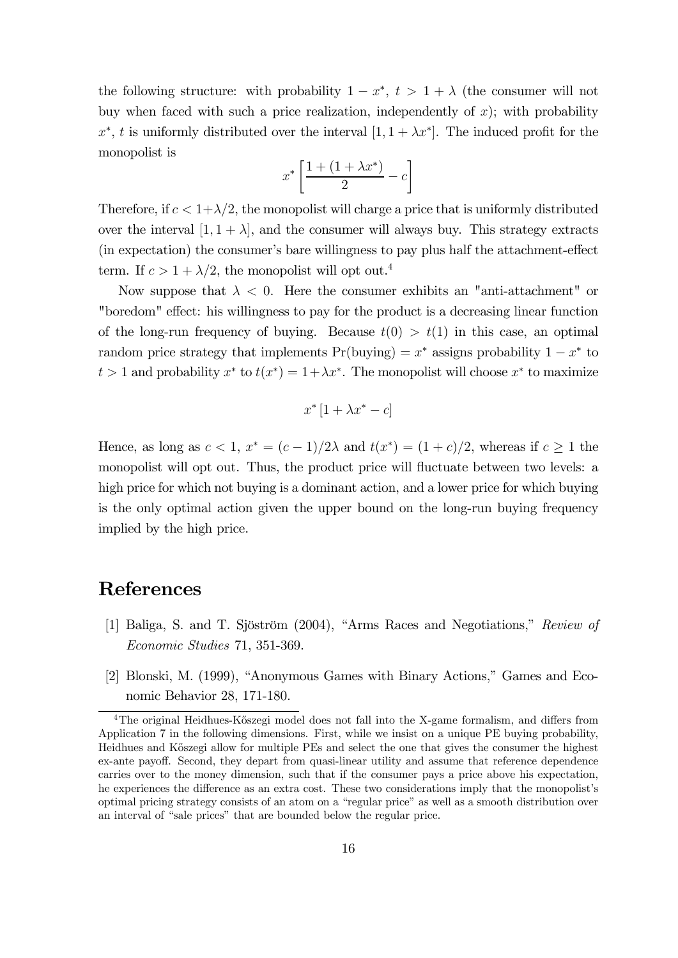the following structure: with probability  $1 - x^*$ ,  $t > 1 + \lambda$  (the consumer will not buy when faced with such a price realization, independently of  $x$ ); with probability  $x^*$ , t is uniformly distributed over the interval  $[1, 1 + \lambda x^*]$ . The induced profit for the monopolist is

$$
x^*\left[\frac{1+(1+\lambda x^*)}{2}-c\right]
$$

Therefore, if  $c < 1+\lambda/2$ , the monopolist will charge a price that is uniformly distributed over the interval  $[1, 1 + \lambda]$ , and the consumer will always buy. This strategy extracts (in expectation) the consumer's bare willingness to pay plus half the attachment-effect term. If  $c > 1 + \lambda/2$ , the monopolist will opt out.<sup>4</sup>

Now suppose that  $\lambda < 0$ . Here the consumer exhibits an "anti-attachment" or "boredom" effect: his willingness to pay for the product is a decreasing linear function of the long-run frequency of buying. Because  $t(0) > t(1)$  in this case, an optimal random price strategy that implements  $Pr(buying) = x^*$  assigns probability  $1 - x^*$  to  $t > 1$  and probability  $x^*$  to  $t(x^*) = 1 + \lambda x^*$ . The monopolist will choose  $x^*$  to maximize

$$
x^* \left[ 1 + \lambda x^* - c \right]
$$

Hence, as long as  $c < 1$ ,  $x^* = (c-1)/2\lambda$  and  $t(x^*) = (1+c)/2$ , whereas if  $c > 1$  the monopolist will opt out. Thus, the product price will fluctuate between two levels: a high price for which not buying is a dominant action, and a lower price for which buying is the only optimal action given the upper bound on the long-run buying frequency implied by the high price.

### References

- [1] Baliga, S. and T. Sjöström (2004), "Arms Races and Negotiations," Review of Economic Studies 71, 351-369.
- [2] Blonski, M. (1999), "Anonymous Games with Binary Actions," Games and Economic Behavior 28, 171-180.

<sup>&</sup>lt;sup>4</sup>The original Heidhues-Kőszegi model does not fall into the X-game formalism, and differs from Application 7 in the following dimensions. First, while we insist on a unique PE buying probability, Heidhues and Kőszegi allow for multiple PEs and select the one that gives the consumer the highest ex-ante payoff. Second, they depart from quasi-linear utility and assume that reference dependence carries over to the money dimension, such that if the consumer pays a price above his expectation, he experiences the difference as an extra cost. These two considerations imply that the monopolist's optimal pricing strategy consists of an atom on a "regular price" as well as a smooth distribution over an interval of "sale prices" that are bounded below the regular price.